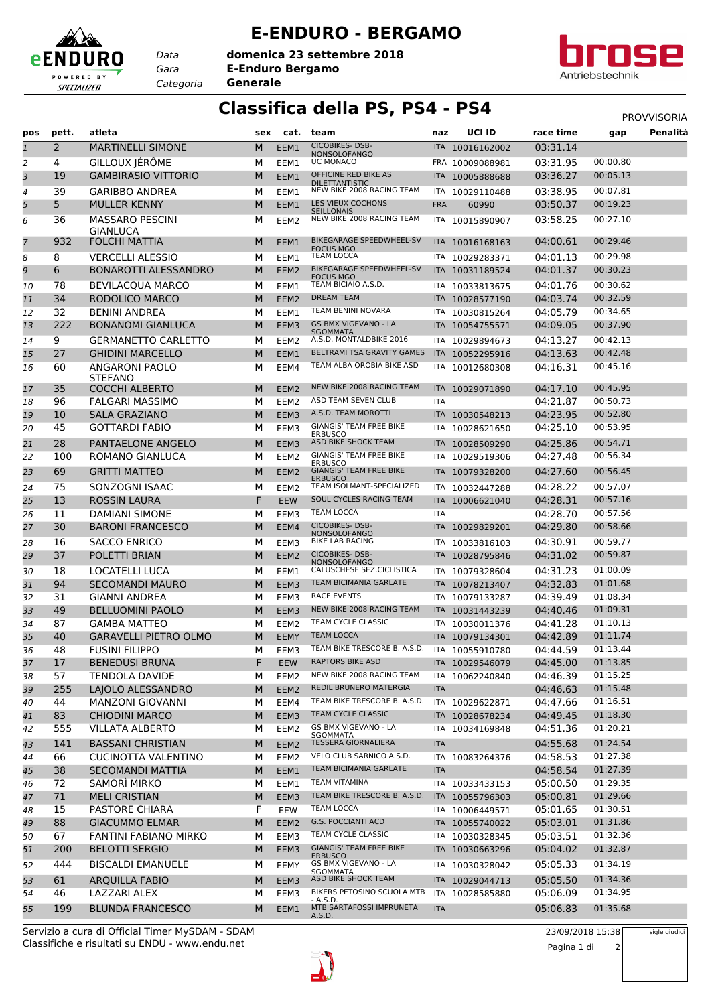## **E-ENDURO - BERGAMO**

*Gara* **E-Enduro Bergamo** *Categoria* **Generale domenica 23 settembre 2018**

*Data*

eENDURO

POWERED BY SPECIALIZED



## **Classifica della PS, PS4 - PS4** PROVVISORIA

| pos            | pett. | atleta                                    | sex | cat.             | team                                               | naz        | <b>UCI ID</b>   | race time | gap      | Penalità |
|----------------|-------|-------------------------------------------|-----|------------------|----------------------------------------------------|------------|-----------------|-----------|----------|----------|
| $\mathbf{1}$   | 2     | <b>MARTINELLI SIMONE</b>                  | M   | EEM1             | <b>CICOBIKES-DSB-</b>                              |            | ITA 10016162002 | 03:31.14  |          |          |
| 2              | 4     | GILLOUX JÉRÔME                            | М   | EEM1             | <b>NONSOLOFANGO</b><br>UC MONACO                   |            | FRA 10009088981 | 03:31.95  | 00:00.80 |          |
| 3              | 19    | <b>GAMBIRASIO VITTORIO</b>                | M   | EEM1             | OFFICINE RED BIKE AS                               |            | ITA 10005888688 | 03:36.27  | 00:05.13 |          |
|                |       |                                           |     |                  | <b>DILETTANTISTIC</b><br>NEW BIKE 2008 RACING TEAM |            |                 |           |          |          |
| 4              | 39    | <b>GARIBBO ANDREA</b>                     | м   | EEM1             | LES VIEUX COCHONS                                  | ITA        | 10029110488     | 03:38.95  | 00:07.81 |          |
| 5              | 5     | <b>MULLER KENNY</b>                       | M   | EEM1             | <b>SEILLONAIS</b>                                  | <b>FRA</b> | 60990           | 03:50.37  | 00:19.23 |          |
| 6              | 36    | <b>MASSARO PESCINI</b><br><b>GIANLUCA</b> | М   | EEM2             | NEW BIKE 2008 RACING TEAM                          |            | ITA 10015890907 | 03:58.25  | 00:27.10 |          |
| $\overline{7}$ | 932   | <b>FOLCHI MATTIA</b>                      | M   | EEM1             | BIKEGARAGE SPEEDWHEEL-SV                           |            | ITA 10016168163 | 04:00.61  | 00:29.46 |          |
| 8              | 8     | <b>VERCELLI ALESSIO</b>                   | М   | EEM1             | <b>FOCUS MGO</b><br><b>TEAM LOCCA</b>              |            | ITA 10029283371 | 04:01.13  | 00:29.98 |          |
| 9              | 6     | <b>BONAROTTI ALESSANDRO</b>               | M   | EEM <sub>2</sub> | BIKEGARAGE SPEEDWHEEL-SV                           |            | ITA 10031189524 | 04:01.37  | 00:30.23 |          |
| 10             | 78    | <b>BEVILACOUA MARCO</b>                   | М   | EEM1             | <b>FOCUS MGO</b><br>TEAM BICIAIO A.S.D.            |            | ITA 10033813675 | 04:01.76  | 00:30.62 |          |
| 11             | 34    | RODOLICO MARCO                            | M   | EEM <sub>2</sub> | <b>DREAM TEAM</b>                                  |            | ITA 10028577190 | 04:03.74  | 00:32.59 |          |
| 12             | 32    | <b>BENINI ANDREA</b>                      | М   | EEM1             | TEAM BENINI NOVARA                                 |            | ITA 10030815264 | 04:05.79  | 00:34.65 |          |
| 13             | 222   | <b>BONANOMI GIANLUCA</b>                  | M   | EEM3             | <b>GS BMX VIGEVANO - LA</b>                        | <b>ITA</b> | 10054755571     | 04:09.05  | 00:37.90 |          |
| 14             | 9     | <b>GERMANETTO CARLETTO</b>                | М   | EEM2             | <b>SGOMMATA</b><br>A.S.D. MONTALDBIKE 2016         | ITA        | 10029894673     | 04:13.27  | 00:42.13 |          |
| 15             | 27    | <b>GHIDINI MARCELLO</b>                   | M   | EEM1             | BELTRAMI TSA GRAVITY GAMES                         |            | ITA 10052295916 | 04:13.63  | 00:42.48 |          |
| 16             | 60    | <b>ANGARONI PAOLO</b>                     | М   | EEM4             | TEAM ALBA OROBIA BIKE ASD                          | ITA        | 10012680308     | 04:16.31  | 00:45.16 |          |
|                |       | <b>STEFANO</b>                            |     |                  |                                                    |            |                 |           |          |          |
| 17             | 35    | <b>COCCHI ALBERTO</b>                     | M   | EEM <sub>2</sub> | NEW BIKE 2008 RACING TEAM                          |            | ITA 10029071890 | 04:17.10  | 00:45.95 |          |
| 18             | 96    | <b>FALGARI MASSIMO</b>                    | м   | EEM <sub>2</sub> | ASD TEAM SEVEN CLUB                                | ITA        |                 | 04:21.87  | 00:50.73 |          |
| 19             | 10    | <b>SALA GRAZIANO</b>                      | M   | EEM3             | A.S.D. TEAM MOROTTI                                |            | ITA 10030548213 | 04:23.95  | 00:52.80 |          |
| 20             | 45    | <b>GOTTARDI FABIO</b>                     | М   | EEM3             | <b>GIANGIS' TEAM FREE BIKE</b><br><b>ERBUSCO</b>   | ITA        | 10028621650     | 04:25.10  | 00:53.95 |          |
| 21             | 28    | <b>PANTAELONE ANGELO</b>                  | M   | EEM3             | ASD BIKE SHOCK TEAM                                |            | ITA 10028509290 | 04:25.86  | 00:54.71 |          |
| 22             | 100   | ROMANO GIANLUCA                           | М   | EEM2             | <b>GIANGIS' TEAM FREE BIKE</b><br><b>ERBUSCO</b>   |            | ITA 10029519306 | 04:27.48  | 00:56.34 |          |
| 23             | 69    | <b>GRITTI MATTEO</b>                      | M   | EEM <sub>2</sub> | <b>GIANGIS' TEAM FREE BIKE</b>                     |            | ITA 10079328200 | 04:27.60  | 00:56.45 |          |
| 24             | 75    | SONZOGNI ISAAC                            | М   | EEM2             | <b>ERBUSCO</b><br>TEAM ISOLMANT-SPECIALIZED        |            | ITA 10032447288 | 04:28.22  | 00:57.07 |          |
| 25             | 13    | <b>ROSSIN LAURA</b>                       | F   | <b>EEW</b>       | SOUL CYCLES RACING TEAM                            |            | ITA 10006621040 | 04:28.31  | 00:57.16 |          |
| 26             | 11    | <b>DAMIANI SIMONE</b>                     | М   | EEM3             | <b>TEAM LOCCA</b>                                  | ITA        |                 | 04:28.70  | 00:57.56 |          |
| 27             | 30    | <b>BARONI FRANCESCO</b>                   | M   | EEM4             | <b>CICOBIKES-DSB-</b>                              | ITA.       | 10029829201     | 04:29.80  | 00:58.66 |          |
| 28             | 16    | <b>SACCO ENRICO</b>                       | М   | EEM3             | <b>NONSOLOFANGO</b><br>BIKE LAB RACING             | ITA        | 10033816103     | 04:30.91  | 00:59.77 |          |
| 29             | 37    | POLETTI BRIAN                             | M   | EEM2             | <b>CICOBIKES-DSB-</b>                              | ITA I      | 10028795846     | 04:31.02  | 00:59.87 |          |
| 30             | 18    | <b>LOCATELLI LUCA</b>                     | М   | EEM1             | <b>NONSOLOFANGO</b><br>CALUSCHESE SEZ.CICLISTICA   | ITA        | 10079328604     | 04:31.23  | 01:00.09 |          |
| 31             | 94    | <b>SECOMANDI MAURO</b>                    | M   | EEM3             | TEAM BICIMANIA GARLATE                             | ITA        | 10078213407     | 04:32.83  | 01:01.68 |          |
| 32             | 31    | <b>GIANNI ANDREA</b>                      | м   | EEM3             | RACE EVENTS                                        |            | ITA 10079133287 | 04:39.49  | 01:08.34 |          |
| 33             | 49    | <b>BELLUOMINI PAOLO</b>                   | M   | EEM3             | NEW BIKE 2008 RACING TEAM                          | <b>ITA</b> | 10031443239     | 04:40.46  | 01:09.31 |          |
| 34             | 87    | <b>GAMBA MATTEO</b>                       | М   | EEM2             | TEAM CYCLE CLASSIC                                 |            | ITA 10030011376 | 04:41.28  | 01:10.13 |          |
| 35             | 40    | <b>GARAVELLI PIETRO OLMO</b>              | M   | <b>EEMY</b>      | <b>TEAM LOCCA</b>                                  |            | ITA 10079134301 | 04:42.89  | 01:11.74 |          |
| 36             | 48    | <b>FUSINI FILIPPO</b>                     | М   | EEM3             | TEAM BIKE TRESCORE B. A.S.D.                       |            | ITA 10055910780 | 04:44.59  | 01:13.44 |          |
| 37             | 17    | <b>BENEDUSI BRUNA</b>                     | F   | EEW              | <b>RAPTORS BIKE ASD</b>                            |            | ITA 10029546079 | 04:45.00  | 01:13.85 |          |
| 38             | 57    | <b>TENDOLA DAVIDE</b>                     | М   | EEM2             | NEW BIKE 2008 RACING TEAM                          |            | ITA 10062240840 | 04:46.39  | 01:15.25 |          |
| 39             | 255   | LAJOLO ALESSANDRO                         | M   | EEM2             | REDIL BRUNERO MATERGIA                             | <b>ITA</b> |                 | 04:46.63  | 01:15.48 |          |
| 40             | 44    | <b>MANZONI GIOVANNI</b>                   | М   | EEM4             | TEAM BIKE TRESCORE B. A.S.D.                       |            | ITA 10029622871 | 04:47.66  | 01:16.51 |          |
| 41             | 83    | <b>CHIODINI MARCO</b>                     | M   | EEM3             | TEAM CYCLE CLASSIC                                 |            | ITA 10028678234 | 04:49.45  | 01:18.30 |          |
| 42             | 555   | <b>VILLATA ALBERTO</b>                    | М   | EEM2             | GS BMX VIGEVANO - LA<br><b>SGOMMATA</b>            |            | ITA 10034169848 | 04:51.36  | 01:20.21 |          |
| 43             | 141   | <b>BASSANI CHRISTIAN</b>                  | M   | EEM <sub>2</sub> | <b>TESSERA GIORNALIERA</b>                         | <b>ITA</b> |                 | 04:55.68  | 01:24.54 |          |
| 44             | 66    | <b>CUCINOTTA VALENTINO</b>                | М   | EEM2             | VELO CLUB SARNICO A.S.D.                           |            | ITA 10083264376 | 04:58.53  | 01:27.38 |          |
| 45             | 38    | <b>SECOMANDI MATTIA</b>                   | M   | EEM1             | TEAM BICIMANIA GARLATE                             | <b>ITA</b> |                 | 04:58.54  | 01:27.39 |          |
| 46             | 72    | SAMORÌ MIRKO                              | М   | EEM1             | TEAM VITAMINA                                      |            | ITA 10033433153 | 05:00.50  | 01:29.35 |          |
| 47             | 71    | <b>MELI CRISTIAN</b>                      | M   | EEM3             | TEAM BIKE TRESCORE B. A.S.D.                       |            | ITA 10055796303 | 05:00.81  | 01:29.66 |          |
| 48             | 15    | PASTORE CHIARA                            | F   | EEW              | <b>TEAM LOCCA</b>                                  |            | ITA 10006449571 | 05:01.65  | 01:30.51 |          |
| 49             | 88    | <b>GIACUMMO ELMAR</b>                     | M   | EEM2             | <b>G.S. POCCIANTI ACD</b>                          |            | ITA 10055740022 | 05:03.01  | 01:31.86 |          |
| 50             | 67    | FANTINI FABIANO MIRKO                     | М   | EEM3             | TEAM CYCLE CLASSIC                                 |            | ITA 10030328345 | 05:03.51  | 01:32.36 |          |
| 51             | 200   | <b>BELOTTI SERGIO</b>                     | M   | EEM3             | <b>GIANGIS' TEAM FREE BIKE</b><br><b>ERBUSCO</b>   |            | ITA 10030663296 | 05:04.02  | 01:32.87 |          |
| 52             | 444   | <b>BISCALDI EMANUELE</b>                  | м   | EEMY             | <b>GS BMX VIGEVANO - LA</b><br>SGOMMATA            |            | ITA 10030328042 | 05:05.33  | 01:34.19 |          |
| 53             | 61    | <b>ARQUILLA FABIO</b>                     | M   | EEM3             | ASD BIKE SHOCK TEAM                                |            | ITA 10029044713 | 05:05.50  | 01:34.36 |          |
| 54             | 46    | <b>LAZZARI ALEX</b>                       | М   | EEM3             | BIKERS PETOSINO SCUOLA MTB                         |            | ITA 10028585880 | 05:06.09  | 01:34.95 |          |
| 55             | 199   | <b>BLUNDA FRANCESCO</b>                   | M   | EEM1             | - A.S.D.<br>MTB SARTAFOSSI IMPRUNETA               | <b>ITA</b> |                 | 05:06.83  | 01:35.68 |          |
|                |       |                                           |     |                  | A.S.D.                                             |            |                 |           |          |          |

Classifiche e risultati su ENDU - www.endu.net Servizio a cura di Official Timer MySDAM - SDAM 23/09/2018 15:38



Pagina 1 di 2

sigle giudici